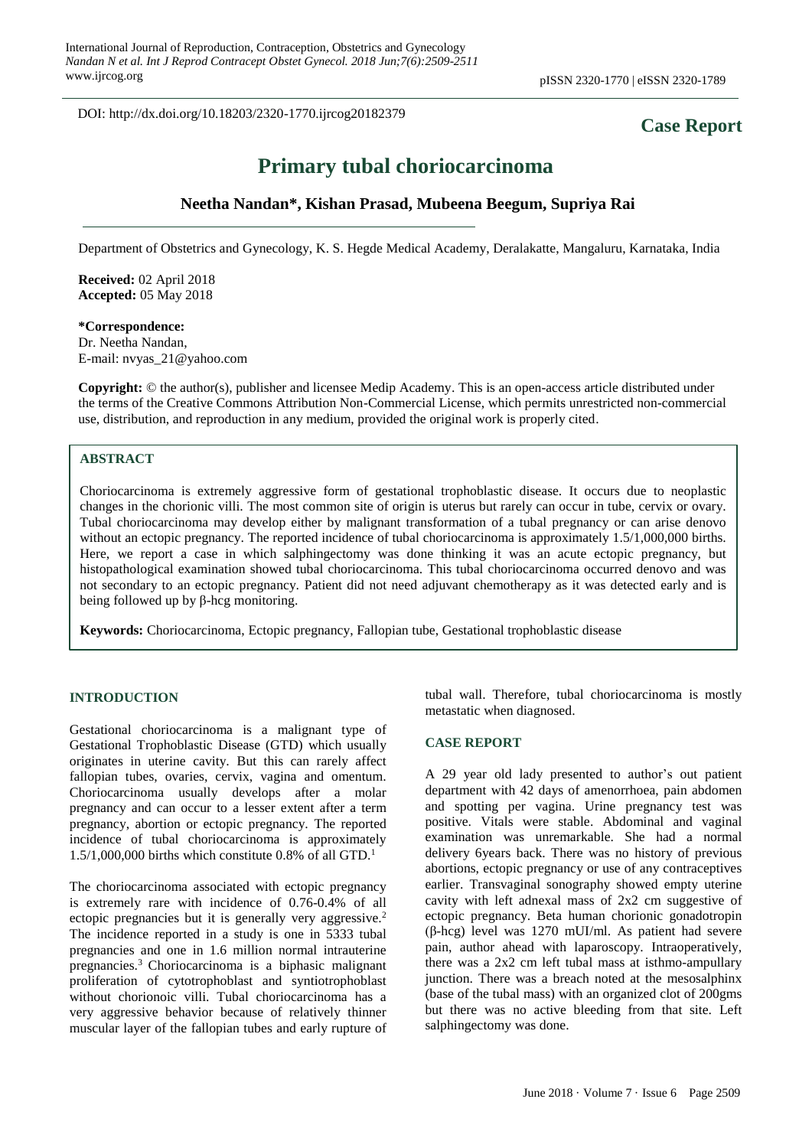DOI: http://dx.doi.org/10.18203/2320-1770.ijrcog20182379

## **Case Report**

# **Primary tubal choriocarcinoma**

### **Neetha Nandan\*, Kishan Prasad, Mubeena Beegum, Supriya Rai**

Department of Obstetrics and Gynecology, K. S. Hegde Medical Academy, Deralakatte, Mangaluru, Karnataka, India

**Received:** 02 April 2018 **Accepted:** 05 May 2018

**\*Correspondence:** Dr. Neetha Nandan, E-mail: nvyas\_21@yahoo.com

**Copyright:** © the author(s), publisher and licensee Medip Academy. This is an open-access article distributed under the terms of the Creative Commons Attribution Non-Commercial License, which permits unrestricted non-commercial use, distribution, and reproduction in any medium, provided the original work is properly cited.

#### **ABSTRACT**

Choriocarcinoma is extremely aggressive form of gestational trophoblastic disease. It occurs due to neoplastic changes in the chorionic villi. The most common site of origin is uterus but rarely can occur in tube, cervix or ovary. Tubal choriocarcinoma may develop either by malignant transformation of a tubal pregnancy or can arise denovo without an ectopic pregnancy. The reported incidence of tubal choriocarcinoma is approximately 1.5/1,000,000 births. Here, we report a case in which salphingectomy was done thinking it was an acute ectopic pregnancy, but histopathological examination showed tubal choriocarcinoma. This tubal choriocarcinoma occurred denovo and was not secondary to an ectopic pregnancy. Patient did not need adjuvant chemotherapy as it was detected early and is being followed up by β-hcg monitoring.

**Keywords:** Choriocarcinoma, Ectopic pregnancy, Fallopian tube, Gestational trophoblastic disease

#### **INTRODUCTION**

Gestational choriocarcinoma is a malignant type of Gestational Trophoblastic Disease (GTD) which usually originates in uterine cavity. But this can rarely affect fallopian tubes, ovaries, cervix, vagina and omentum. Choriocarcinoma usually develops after a molar pregnancy and can occur to a lesser extent after a term pregnancy, abortion or ectopic pregnancy. The reported incidence of tubal choriocarcinoma is approximately  $1.5/1,000,000$  births which constitute 0.8% of all GTD.<sup>1</sup>

The choriocarcinoma associated with ectopic pregnancy is extremely rare with incidence of 0.76-0.4% of all ectopic pregnancies but it is generally very aggressive.<sup>2</sup> The incidence reported in a study is one in 5333 tubal pregnancies and one in 1.6 million normal intrauterine pregnancies.<sup>3</sup> Choriocarcinoma is a biphasic malignant proliferation of cytotrophoblast and syntiotrophoblast without chorionoic villi. Tubal choriocarcinoma has a very aggressive behavior because of relatively thinner muscular layer of the fallopian tubes and early rupture of tubal wall. Therefore, tubal choriocarcinoma is mostly metastatic when diagnosed.

#### **CASE REPORT**

A 29 year old lady presented to author's out patient department with 42 days of amenorrhoea, pain abdomen and spotting per vagina. Urine pregnancy test was positive. Vitals were stable. Abdominal and vaginal examination was unremarkable. She had a normal delivery 6years back. There was no history of previous abortions, ectopic pregnancy or use of any contraceptives earlier. Transvaginal sonography showed empty uterine cavity with left adnexal mass of 2x2 cm suggestive of ectopic pregnancy. Beta human chorionic gonadotropin (β-hcg) level was 1270 mUI/ml. As patient had severe pain, author ahead with laparoscopy. Intraoperatively, there was a 2x2 cm left tubal mass at isthmo-ampullary junction. There was a breach noted at the mesosalphinx (base of the tubal mass) with an organized clot of 200gms but there was no active bleeding from that site. Left salphingectomy was done.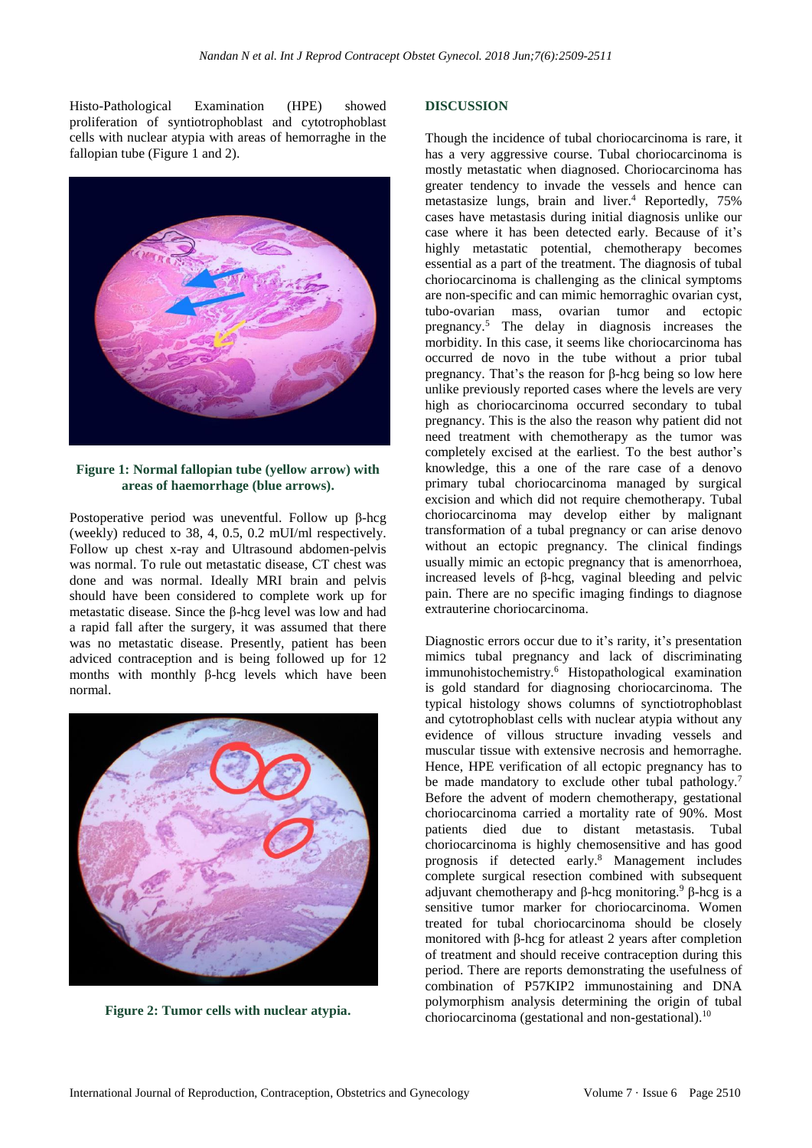Histo-Pathological Examination (HPE) showed proliferation of syntiotrophoblast and cytotrophoblast cells with nuclear atypia with areas of hemorraghe in the fallopian tube (Figure 1 and 2).



**Figure 1: Normal fallopian tube (yellow arrow) with areas of haemorrhage (blue arrows).**

Postoperative period was uneventful. Follow up β-hcg (weekly) reduced to 38, 4, 0.5, 0.2 mUI/ml respectively. Follow up chest x-ray and Ultrasound abdomen-pelvis was normal. To rule out metastatic disease, CT chest was done and was normal. Ideally MRI brain and pelvis should have been considered to complete work up for metastatic disease. Since the β-hcg level was low and had a rapid fall after the surgery, it was assumed that there was no metastatic disease. Presently, patient has been adviced contraception and is being followed up for 12 months with monthly β-hcg levels which have been normal.



**Figure 2: Tumor cells with nuclear atypia.**

#### **DISCUSSION**

Though the incidence of tubal choriocarcinoma is rare, it has a very aggressive course. Tubal choriocarcinoma is mostly metastatic when diagnosed. Choriocarcinoma has greater tendency to invade the vessels and hence can metastasize lungs, brain and liver.<sup>4</sup> Reportedly, 75% cases have metastasis during initial diagnosis unlike our case where it has been detected early. Because of it's highly metastatic potential, chemotherapy becomes essential as a part of the treatment. The diagnosis of tubal choriocarcinoma is challenging as the clinical symptoms are non-specific and can mimic hemorraghic ovarian cyst, tubo-ovarian mass, ovarian tumor and ectopic pregnancy.<sup>5</sup> The delay in diagnosis increases the morbidity. In this case, it seems like choriocarcinoma has occurred de novo in the tube without a prior tubal pregnancy. That's the reason for β-hcg being so low here unlike previously reported cases where the levels are very high as choriocarcinoma occurred secondary to tubal pregnancy. This is the also the reason why patient did not need treatment with chemotherapy as the tumor was completely excised at the earliest. To the best author's knowledge, this a one of the rare case of a denovo primary tubal choriocarcinoma managed by surgical excision and which did not require chemotherapy. Tubal choriocarcinoma may develop either by malignant transformation of a tubal pregnancy or can arise denovo without an ectopic pregnancy. The clinical findings usually mimic an ectopic pregnancy that is amenorrhoea, increased levels of β-hcg, vaginal bleeding and pelvic pain. There are no specific imaging findings to diagnose extrauterine choriocarcinoma.

Diagnostic errors occur due to it's rarity, it's presentation mimics tubal pregnancy and lack of discriminating immunohistochemistry.<sup>6</sup> Histopathological examination is gold standard for diagnosing choriocarcinoma. The typical histology shows columns of synctiotrophoblast and cytotrophoblast cells with nuclear atypia without any evidence of villous structure invading vessels and muscular tissue with extensive necrosis and hemorraghe. Hence, HPE verification of all ectopic pregnancy has to be made mandatory to exclude other tubal pathology.<sup>7</sup> Before the advent of modern chemotherapy, gestational choriocarcinoma carried a mortality rate of 90%. Most patients died due to distant metastasis. Tubal choriocarcinoma is highly chemosensitive and has good prognosis if detected early.<sup>8</sup> Management includes complete surgical resection combined with subsequent adjuvant chemotherapy and β-hcg monitoring.<sup>9</sup> β-hcg is a sensitive tumor marker for choriocarcinoma. Women treated for tubal choriocarcinoma should be closely monitored with β-hcg for atleast 2 years after completion of treatment and should receive contraception during this period. There are reports demonstrating the usefulness of combination of P57KIP2 immunostaining and DNA polymorphism analysis determining the origin of tubal choriocarcinoma (gestational and non-gestational).<sup>10</sup>